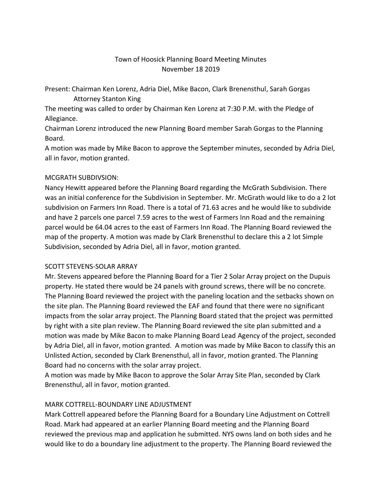# Town of Hoosick Planning Board Meeting Minutes November 18 2019

Present: Chairman Ken Lorenz, Adria Diel, Mike Bacon, Clark Brenensthul, Sarah Gorgas Attorney Stanton King

The meeting was called to order by Chairman Ken Lorenz at 7:30 P.M. with the Pledge of Allegiance.

Chairman Lorenz introduced the new Planning Board member Sarah Gorgas to the Planning Board.

A motion was made by Mike Bacon to approve the September minutes, seconded by Adria Diel, all in favor, motion granted.

### MCGRATH SUBDIVSION:

Nancy Hewitt appeared before the Planning Board regarding the McGrath Subdivision. There was an initial conference for the Subdivision in September. Mr. McGrath would like to do a 2 lot subdivision on Farmers Inn Road. There is a total of 71.63 acres and he would like to subdivide and have 2 parcels one parcel 7.59 acres to the west of Farmers Inn Road and the remaining parcel would be 64.04 acres to the east of Farmers Inn Road. The Planning Board reviewed the map of the property. A motion was made by Clark Brenensthul to declare this a 2 lot Simple Subdivision, seconded by Adria Diel, all in favor, motion granted.

### SCOTT STEVENS-SOLAR ARRAY

Mr. Stevens appeared before the Planning Board for a Tier 2 Solar Array project on the Dupuis property. He stated there would be 24 panels with ground screws, there will be no concrete. The Planning Board reviewed the project with the paneling location and the setbacks shown on the site plan. The Planning Board reviewed the EAF and found that there were no significant impacts from the solar array project. The Planning Board stated that the project was permitted by right with a site plan review. The Planning Board reviewed the site plan submitted and a motion was made by Mike Bacon to make Planning Board Lead Agency of the project, seconded by Adria Diel, all in favor, motion granted. A motion was made by Mike Bacon to classify this an Unlisted Action, seconded by Clark Brenensthul, all in favor, motion granted. The Planning Board had no concerns with the solar array project.

A motion was made by Mike Bacon to approve the Solar Array Site Plan, seconded by Clark Brenensthul, all in favor, motion granted.

# MARK COTTRELL-BOUNDARY LINE ADJUSTMENT

Mark Cottrell appeared before the Planning Board for a Boundary Line Adjustment on Cottrell Road. Mark had appeared at an earlier Planning Board meeting and the Planning Board reviewed the previous map and application he submitted. NYS owns land on both sides and he would like to do a boundary line adjustment to the property. The Planning Board reviewed the